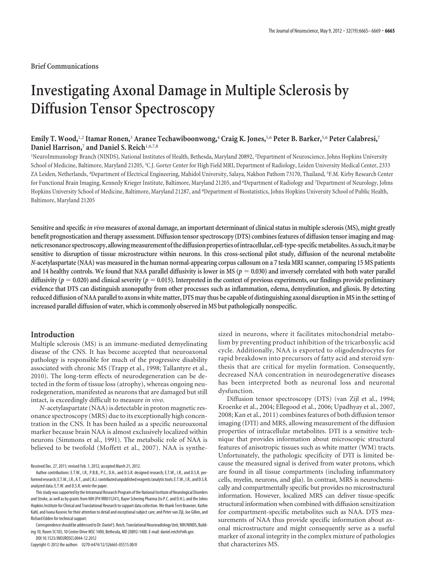# **Investigating Axonal Damage in Multiple Sclerosis by Diffusion Tensor Spectroscopy**

## **Emily T. Wood,**1,2 **Itamar Ronen,**<sup>3</sup> **Aranee Techawiboonwong,**<sup>4</sup> **Craig K. Jones,**5,6 **Peter B. Barker,**5,6 **Peter Calabresi,**<sup>7</sup> **Daniel Harrison,**<sup>7</sup> **and Daniel S. Reich**1,6,7,8

<sup>1</sup>NeuroImmunology Branch (NINDS), National Institutes of Health, Bethesda, Maryland 20892, <sup>2</sup>Department of Neuroscience, Johns Hopkins University School of Medicine, Baltimore, Maryland 21205, <sup>3</sup>C.J. Gorter Center for High Field MRI, Department of Radiology, Leiden University Medical Center, 2333 ZA Leiden, Netherlands, <sup>4</sup> Department of Electrical Engineering, Mahidol University, Salaya, Nakhon Pathom 73170, Thailand, <sup>5</sup> F.M. Kirby Research Center for Functional Brain Imaging, Kennedy Krieger Institute, Baltimore, Maryland 21205, and <sup>6</sup>Department of Radiology and <sup>7</sup>Department of Neurology, Johns Hopkins University School of Medicine, Baltimore, Maryland 21287, and <sup>8</sup>Department of Biostatistics, Johns Hopkins University School of Public Health, Baltimore, Maryland 21205

**Sensitive and specific***in vivo* **measures of axonal damage, an important determinant of clinical status in multiple sclerosis (MS), might greatly** benefit prognostication and therapy assessment. Diffusion tensor spectroscopy (DTS) combines features of diffusion tensor imaging and mag**netic resonancespectroscopy,allowingmeasurementofthediffusionpropertiesofintracellular,cell-type-specificmetabolites.Assuch,itmaybe sensitive to disruption of tissue microstructure within neurons. In this cross-sectional pilot study, diffusion of the neuronal metabolite** *N-***acetylaspartate (NAA) was measured in the human normal-appearing corpus callosum on a 7 tesla MRI scanner, comparing 15 MS patients** and 14 healthy controls. We found that NAA parallel diffusivity is lower in MS ( $p = 0.030$ ) and inversely correlated with both water parallel diffusivity ( $p = 0.020$ ) and clinical severity ( $p = 0.015$ ). Interpreted in the context of previous experiments, our findings provide preliminary **evidence that DTS can distinguish axonopathy from other processes such as inflammation, edema, demyelination, and gliosis. By detecting reduced diffusion of NAA parallelto axons in white matter, DTS maythus be capable of distinguishing axonal disruption in MS inthe setting of increased parallel diffusion of water, which is commonly observed in MS but pathologically nonspecific.**

## **Introduction**

Multiple sclerosis (MS) is an immune-mediated demyelinating disease of the CNS. It has become accepted that neuroaxonal pathology is responsible for much of the progressive disability associated with chronic MS (Trapp et al., 1998; Tallantyre et al., 2010). The long-term effects of neurodegeneration can be detected in the form of tissue loss (atrophy), whereas ongoing neurodegeneration, manifested as neurons that are damaged but still intact, is exceedingly difficult to measure *in vivo*.

*N*-acetylaspartate (NAA) is detectable in proton magnetic resonance spectroscopy (MRS) due to its exceptionally high concentration in the CNS. It has been hailed as a specific neuroaxonal marker because brain NAA is almost exclusively localized within neurons (Simmons et al., 1991). The metabolic role of NAA is believed to be twofold (Moffett et al., 2007). NAA is synthe-

Correspondence should be addressed to Dr. Daniel S. Reich, Translational Neuroradiology Unit, NIH/NINDS, Building 10, Room 5C103, 10 Center Drive MSC 1400, Bethesda, MD 20892-1400. E-mail: daniel.reich@nih.gov. DOI:10.1523/JNEUROSCI.0044-12.2012

Copyright © 2012 the authors 0270-6474/12/326665-05\$15.00/0

sized in neurons, where it facilitates mitochondrial metabolism by preventing product inhibition of the tricarboxylic acid cycle. Additionally, NAA is exported to oligodendrocytes for rapid breakdown into precursors of fatty acid and steroid synthesis that are critical for myelin formation. Consequently, decreased NAA concentration in neurodegenerative diseases has been interpreted both as neuronal loss and neuronal dysfunction.

Diffusion tensor spectroscopy (DTS) (van Zijl et al., 1994; Kroenke et al., 2004; Ellegood et al., 2006; Upadhyay et al., 2007, 2008; Kan et al., 2011) combines features of both diffusion tensor imaging (DTI) and MRS, allowing measurement of the diffusion properties of intracellular metabolites. DTI is a sensitive technique that provides information about microscopic structural features of anisotropic tissues such as white matter (WM) tracts. Unfortunately, the pathologic specificity of DTI is limited because the measured signal is derived from water protons, which are found in all tissue compartments (including inflammatory cells, myelin, neurons, and glia). In contrast, MRS is neurochemically and compartmentally specific but provides no microstructural information. However, localized MRS can deliver tissue-specific structural information when combined with diffusion sensitization for compartment-specific metabolites such as NAA. DTS measurements of NAA thus provide specific information about axonal microstructure and might consequently serve as a useful marker of axonal integrity in the complex mixture of pathologies that characterizes MS.

Received Dec. 27, 2011; revised Feb. 1, 2012; accepted March 21, 2012.

Author contributions: E.T.W., I.R., P.B.B., P.C., D.H., and D.S.R. designed research; E.T.W., I.R., and D.S.R. performed research; E.T.W., I.R., A.T., and C.K.J. contributed unpublished reagents/analytic tools; E.T.W., I.R., and D.S.R. analyzed data; E.T.W. and D.S.R. wrote the paper.

Thisstudy wassupported bythe Intramural Research Program ofthe National Institute of Neurological Disorders and Stroke, as well as by grants from NIH (P41RR015241), Bayer Schering Pharma (to P.C. and D.H.), and the Johns Hopkins Institute for Clinical and Translational Research to support data collection. We thank Terri Brawner, Kathie Kahl, and Ivana Kusevic for their attention to detail and exceptional subject care; and Peter van Zijl, Joe Gillen, and Richard Edden for technical support.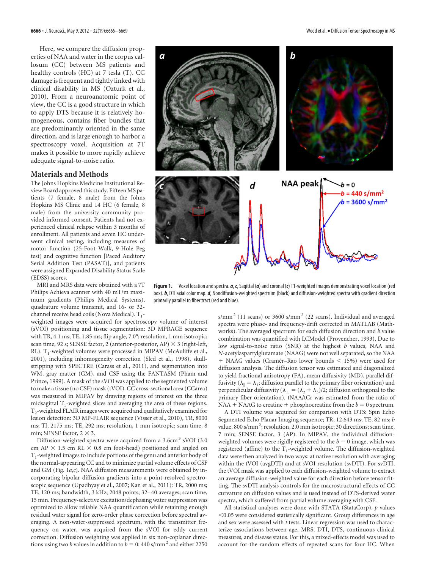Here, we compare the diffusion properties of NAA and water in the corpus callosum (CC) between MS patients and healthy controls (HC) at 7 tesla (T). CC damage is frequent and tightly linked with clinical disability in MS (Ozturk et al., 2010). From a neuroanatomic point of view, the CC is a good structure in which to apply DTS because it is relatively homogeneous, contains fiber bundles that are predominantly oriented in the same direction, and is large enough to harbor a spectroscopy voxel. Acquisition at 7T makes it possible to more rapidly achieve adequate signal-to-noise ratio.

## **Materials and Methods**

The Johns Hopkins Medicine Institutional Review Board approved this study. Fifteen MS patients (7 female, 8 male) from the Johns Hopkins MS Clinic and 14 HC (6 female, 8 male) from the university community provided informed consent. Patients had not experienced clinical relapse within 3 months of enrollment. All patients and seven HC underwent clinical testing, including measures of motor function (25-Foot Walk, 9-Hole Peg test) and cognitive function [Paced Auditory Serial Addition Test (PASAT)], and patients were assigned Expanded Disability Status Scale (EDSS) scores.

MRI and MRS data were obtained with a 7T Philips Achieva scanner with 40 mT/m maximum gradients (Philips Medical Systems), quadrature volume transmit, and 16- or 32 channel receive head coils (Nova Medical).  $T_1$ -

weighted images were acquired for spectroscopy volume of interest (sVOI) positioning and tissue segmentation: 3D MPRAGE sequence with TR, 4.1 ms; TE, 1.85 ms; flip angle, 7.0°; resolution, 1 mm isotropic; scan time, 92 s; SENSE factor, 2 (anterior-posterior, AP)  $\times$  3 (right-left, RL). T<sub>1</sub>-weighted volumes were processed in MIPAV (McAuliffe et al., 2001), including inhomogeneity correction (Sled et al., 1998), skullstripping with SPECTRE (Carass et al., 2011), and segmentation into WM, gray matter (GM), and CSF using the FANTASM (Pham and Prince, 1999). A mask of the sVOI was applied to the segmented volume to make a tissue (no CSF) mask (tVOI). CC cross-sectional area (CCarea) was measured in MIPAV by drawing regions of interest on the three midsagittal  $T_1$ -weighted slices and averaging the area of these regions.  $T<sub>2</sub>$ -weighted FLAIR images were acquired and qualitatively examined for lesion detection: 3D MP-FLAIR sequence (Visser et al., 2010), TR, 8000 ms; TI, 2175 ms; TE, 292 ms; resolution, 1 mm isotropic; scan time, 8 min; SENSE factor,  $2 \times 3$ .

Diffusion-weighted spectra were acquired from a 3.6cm<sup>3</sup> sVOI (3.0 cm AP  $\times$  1.5 cm RL  $\times$  0.8 cm foot-head) positioned and angled on  $T<sub>1</sub>$ -weighted images to include portions of the genu and anterior body of the normal-appearing CC and to minimize partial volume effects of CSF and GM (Fig. 1*a*,*c*). NAA diffusion measurements were obtained by incorporating bipolar diffusion gradients into a point-resolved spectroscopic sequence (Upadhyay et al., 2007; Kan et al., 2011): TR, 2000 ms; TE, 120 ms; bandwidth, 3 kHz; 2048 points; 32– 40 averages; scan time, 15 min. Frequency-selective excitation/dephasing water suppression was optimized to allow reliable NAA quantification while retaining enough residual water signal for zero-order phase correction before spectral averaging. A non-water-suppressed spectrum, with the transmitter frequency on water, was acquired from the sVOI for eddy current correction. Diffusion weighting was applied in six non-coplanar directions using two *b* values in addition to  $b = 0$ : 440 s/mm<sup>2</sup> and either 2250



**Figure 1.** Voxel location and spectra. *a*, *c*, Sagittal (*a*) and coronal (*c*) T1-weighted images demonstrating voxel location (red box). *b*, DTI axial color map. *d*, Nondiffusion-weighted spectrum (black) and diffusion-weighted spectra with gradient direction primarily parallel to fiber tract (red and blue).

s/mm<sup>2</sup> (11 scans) or 3600 s/mm<sup>2</sup> (22 scans). Individual and averaged spectra were phase- and frequency-drift corrected in MATLAB (Mathworks). The averaged spectrum for each diffusion direction and *b* value combination was quantified with LCModel (Provencher, 1993). Due to low signal-to-noise ratio (SNR) at the highest *b* values, NAA and *N-*acetylaspartylglutamate (NAAG) were not well separated, so the NAA + NAAG values (Cramér-Rao lower bounds < 15%) were used for diffusion analysis. The diffusion tensor was estimated and diagonalized to yield fractional anisotropy (FA), mean diffusivity (MD), parallel diffusivity ( $\lambda_{\parallel} = \lambda_1$ ; diffusion parallel to the primary fiber orientation) and perpendicular diffusivity ( $\lambda_{\perp} = (\lambda_2 + \lambda_3)/2$ ; diffusion orthogonal to the primary fiber orientation). tNAA/tCr was estimated from the ratio of NAA + NAAG to creatine + phosphocreatine from the  $b = 0$  spectrum.

A DTI volume was acquired for comparison with DTS: Spin Echo Segmented Echo Planar Imaging sequence; TR, 12,643 ms; TE, 82 ms; *b* value, 800 s/mm<sup>2</sup>; resolution, 2.0 mm isotropic; 30 directions; scan time, 7 min; SENSE factor, 3 (AP). In MIPAV, the individual diffusionweighted volumes were rigidly registered to the  $b = 0$  image, which was registered (affine) to the  $T_1$ -weighted volume. The diffusion-weighted data were then analyzed in two ways: at native resolution with averaging within the tVOI (avgDTI) and at sVOI resolution (svDTI). For svDTI, the tVOI mask was applied to each diffusion-weighted volume to extract an average diffusion-weighted value for each direction before tensor fitting. The svDTI analysis controls for the macrostructural effects of CC curvature on diffusion values and is used instead of DTS-derived water spectra, which suffered from partial volume averaging with CSF.

All statistical analyses were done with STATA (StataCorp). *p* values 0.05 were considered statistically significant. Group differences in age and sex were assessed with *t* tests. Linear regression was used to characterize associations between age, MRS, DTI, DTS, continuous clinical measures, and disease status. For this, a mixed-effects model was used to account for the random effects of repeated scans for four HC. When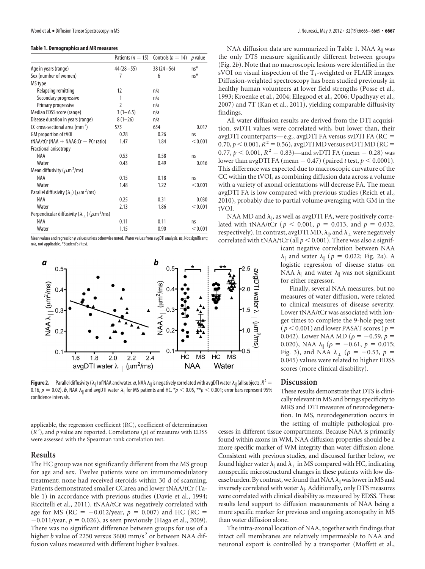#### **Table 1. Demographics and MR measures**

|                                                                          |                | Patients ( $n = 15$ ) Controls ( $n = 14$ ) p value |         |
|--------------------------------------------------------------------------|----------------|-----------------------------------------------------|---------|
| Age in years (range)                                                     | $44(28 - 55)$  | $38(24 - 56)$                                       | $ns*$   |
| Sex (number of women)                                                    | 7              | 6                                                   | $ns*$   |
| MS type                                                                  |                |                                                     |         |
| Relapsing remitting                                                      | 12             | n/a                                                 |         |
| Secondary progressive                                                    | 1              | n/a                                                 |         |
| Primary progressive                                                      | $\overline{2}$ | n/a                                                 |         |
| Median EDSS score (range)                                                | $3(1-6.5)$     | n/a                                                 |         |
| Disease duration in years (range)                                        | $8(1-26)$      | n/a                                                 |         |
| CC cross-sectional area (mm <sup>2</sup> )                               | 575            | 654                                                 | 0.017   |
| GM proportion of tVOI                                                    | 0.28           | 0.26                                                | ns      |
| $tNAA/tCr$ (NAA + NAAG: $Cr$ + PCr ratio)                                | 1.47           | 1.84                                                | < 0.001 |
| Fractional anisotropy                                                    |                |                                                     |         |
| NAA                                                                      | 0.53           | 0.58                                                | ns      |
| Water                                                                    | 0.43           | 0.49                                                | 0.016   |
| Mean diffusivity ( $\mu$ m <sup>2</sup> /ms)                             |                |                                                     |         |
| NAA                                                                      | 0.15           | 0.18                                                | ns      |
| Water                                                                    | 1.48           | 1.22                                                | < 0.001 |
| Parallel diffusivity $(\lambda_{\parallel})$ ( $\mu$ m <sup>2</sup> /ms) |                |                                                     |         |
| NAA                                                                      | 0.25           | 0.31                                                | 0.030   |
| Water                                                                    | 2.13           | 1.86                                                | < 0.001 |
| Perpendicular diffusivity ( $\lambda$ , ) ( $\mu$ m <sup>2</sup> /ms)    |                |                                                     |         |
| NAA                                                                      | 0.11           | 0.11                                                | ns      |
| Water                                                                    | 1.15           | 0.90                                                | < 0.001 |

Mean values and regression *p*values unless otherwise noted.Water values from avgDTI analysis. ns, Notsignificant; n/a, not applicable. \*Student's *t* test.



**Figure 2.** Parallel diffusivity ( $\lambda_{||}$ ) of NAA and water. *a*, NAA  $\lambda_{||}$  is negatively correlated with avgDTI water  $\lambda_{||}$  (all subjects,  $R^2$   $=$ 0.16,  $p = 0.02$ ). **b**, NAA  $\lambda_{\parallel}$  and avgDTI water  $\lambda_{\parallel}$  for MS patients and HC. \* $p < 0.05$ , \*\* $p < 0.001$ ; error bars represent 95% confidence intervals.

applicable, the regression coefficient (RC), coefficient of determination  $(R<sup>2</sup>)$ , and *p* value are reported. Correlations ( $\rho$ ) of measures with EDSS were assessed with the Spearman rank correlation test.

## **Results**

The HC group was not significantly different from the MS group for age and sex. Twelve patients were on immunomodulatory treatment; none had received steroids within 30 d of scanning. Patients demonstrated smaller CCarea and lower tNAA/tCr (Table 1) in accordance with previous studies (Davie et al., 1994; Riccitelli et al., 2011). tNAA/tCr was negatively correlated with age for MS (RC =  $-0.012$ /year,  $p = 0.007$ ) and HC (RC =  $-0.011$ /year,  $p = 0.026$ ), as seen previously (Haga et al., 2009). There was no significant difference between groups for use of a higher *b* value of 2250 versus 3600 mm/s<sup>2</sup> or between NAA diffusion values measured with different higher *b* values.

NAA diffusion data are summarized in Table 1. NAA  $\lambda_{\parallel}$  was the only DTS measure significantly different between groups (Fig. 2*b*). Note that no macroscopic lesions were identified in the sVOI on visual inspection of the  $T_1$ -weighted or FLAIR images. Diffusion-weighted spectroscopy has been studied previously in healthy human volunteers at lower field strengths (Posse et al., 1993; Kroenke et al., 2004; Ellegood et al., 2006; Upadhyay et al., 2007) and 7T (Kan et al., 2011), yielding comparable diffusivity findings.

All water diffusion results are derived from the DTI acquisition. svDTI values were correlated with, but lower than, their avgDTI counterparts— e.g., avgDTI FA versus svDTI FA (RC 0.70,  $p < 0.001$ ,  $R^2 = 0.56$ ), avgDTI MD versus svDTI MD (RC = 0.77,  $p < 0.001$ ,  $R^2 = 0.83$ )—and svDTI FA (mean = 0.28) was lower than avgDTI FA (mean  $= 0.47$ ) (paired *t* test,  $p < 0.0001$ ). This difference was expected due to macroscopic curvature of the CC within the tVOI, as combining diffusion data across a volume with a variety of axonal orientations will decrease FA. The mean avgDTI FA is low compared with previous studies (Reich et al., 2010), probably due to partial volume averaging with GM in the tVOI.

NAA MD and  $\lambda_{\parallel}$ , as well as avgDTI FA, were positively correlated with tNAA/tCr ( $p < 0.001$ ,  $p = 0.013$ , and  $p = 0.032$ , respectively). In contrast, avgDTI MD,  $\lambda_{\parallel}$ , and  $\lambda_{\perp}$  were negatively correlated with tNAA/tCr (all  $p < 0.001$ ). There was also a signif-

> icant negative correlation between NAA  $\lambda_{\parallel}$  and water  $\lambda_{\parallel}$  ( $p = 0.022$ ; Fig. 2*a*). A logistic regression of disease status on NAA  $\lambda_{\parallel}$  and water  $\lambda_{\parallel}$  was not significant for either regressor.

> Finally, several NAA measures, but no measures of water diffusion, were related to clinical measures of disease severity. Lower tNAA/tCr was associated with longer times to complete the 9-hole peg test  $(p < 0.001)$  and lower PASAT scores ( $p =$ 0.042). Lower NAA MD ( $\rho = -0.59$ ,  $p =$ 0.020), NAA  $\lambda_{\parallel}$  ( $\rho = -0.61, p = 0.015;$ Fig. 3), and NAA  $\lambda_{\perp}$  ( $\rho = -0.53$ ,  $p =$ 0.045) values were related to higher EDSS scores (more clinical disability).

### **Discussion**

These results demonstrate that DTS is clinically relevant in MS and brings specificity to MRS and DTI measures of neurodegeneration. In MS, neurodegeneration occurs in the setting of multiple pathological pro-

cesses in different tissue compartments. Because NAA is primarily found within axons in WM, NAA diffusion properties should be a more specific marker of WM integrity than water diffusion alone. Consistent with previous studies, and discussed further below, we found higher water  $\lambda_{\parallel}$  and  $\lambda_{\perp}$  in MS compared with HC, indicating nonspecific microstructural changes in these patients with low disease burden. By contrast, we found that NAA  $\lambda$ <sub>||</sub> was lower in MS and inversely correlated with water  $\lambda_{\parallel}$ . Additionally, only DTS measures were correlated with clinical disability as measured by EDSS. These results lend support to diffusion measurements of NAA being a more specific marker for previous and ongoing axonopathy in MS than water diffusion alone.

The intra-axonal location of NAA, together with findings that intact cell membranes are relatively impermeable to NAA and neuronal export is controlled by a transporter (Moffett et al.,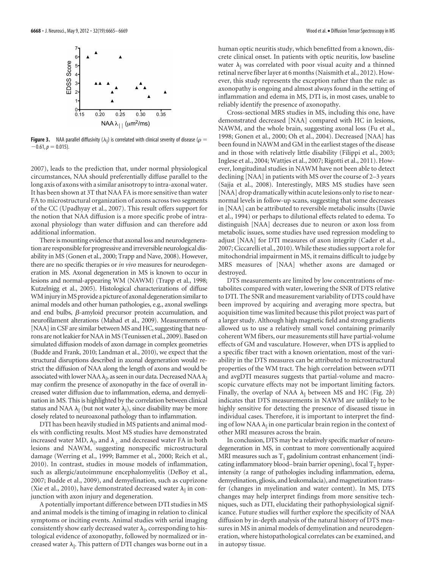

**Figure 3.** NAA parallel diffusivity  $(\lambda_{\parallel})$  is correlated with clinical severity of disease ( $\rho =$  $-0.61, p = 0.015$ ).

2007), leads to the prediction that, under normal physiological circumstances, NAA should preferentially diffuse parallel to the long axis of axons with a similar anisotropy to intra-axonal water. It has been shown at 3T that NAA FA is more sensitive than water FA to microstructural organization of axons across two segments of the CC (Upadhyay et al., 2007). This result offers support for the notion that NAA diffusion is a more specific probe of intraaxonal physiology than water diffusion and can therefore add additional information.

There is mounting evidence that axonal loss and neurodegeneration are responsible for progressive and irreversible neurological disability in MS (Gonen et al., 2000; Trapp and Nave, 2008). However, there are no specific therapies or *in vivo* measures for neurodegeneration in MS. Axonal degeneration in MS is known to occur in lesions and normal-appearing WM (NAWM) (Trapp et al., 1998; Kutzelnigg et al., 2005). Histological characterizations of diffuse WM injury in MS provide a picture of axonal degeneration similar to animal models and other human pathologies, e.g., axonal swellings and end bulbs,  $\beta$ -amyloid precursor protein accumulation, and neurofilament alterations (Mahad et al., 2009). Measurements of [NAA] in CSF are similar between MS and HC, suggesting that neurons are not leakier for NAA in MS (Teunissen et al., 2009). Based on simulated diffusion models of axon damage in complex geometries (Budde and Frank, 2010; Landman et al., 2010), we expect that the structural disruptions described in axonal degeneration would restrict the diffusion of NAA along the length of axons and would be associated with lower NAA  $\lambda_{\parallel}$ , as seen in our data. Decreased NAA  $\lambda_{\parallel}$ may confirm the presence of axonopathy in the face of overall increased water diffusion due to inflammation, edema, and demyelination in MS. This is highlighted by the correlation between clinical status and NAA  $\lambda_{\parallel}$  (but not water  $\lambda_{\parallel}$ ), since disability may be more closely related to neuroaxonal pathology than to inflammation.

DTI has been heavily studied in MS patients and animal models with conflicting results. Most MS studies have demonstrated increased water MD,  $\lambda_{\parallel}$ , and  $\lambda_{\perp}$  and decreased water FA in both lesions and NAWM, suggesting nonspecific microstructural damage (Werring et al., 1999; Bammer et al., 2000; Reich et al., 2010). In contrast, studies in mouse models of inflammation, such as allergic/autoimmune encephalomyelitis (DeBoy et al., 2007; Budde et al., 2009), and demyelination, such as cuprizone (Xie et al., 2010), have demonstrated decreased water  $\lambda_{\parallel}$  in conjunction with axon injury and degeneration.

A potentially important difference between DTI studies in MS and animal models is the timing of imaging in relation to clinical symptoms or inciting events. Animal studies with serial imaging consistently show early decreased water  $\lambda_{\parallel}$ , corresponding to histological evidence of axonopathy, followed by normalized or increased water  $\lambda_{\parallel}$ . This pattern of DTI changes was borne out in a

human optic neuritis study, which benefitted from a known, discrete clinical onset. In patients with optic neuritis, low baseline water  $\lambda_{\parallel}$  was correlated with poor visual acuity and a thinned retinal nerve fiber layer at 6 months (Naismith et al., 2012). However, this study represents the exception rather than the rule: as axonopathy is ongoing and almost always found in the setting of inflammation and edema in MS, DTI is, in most cases, unable to reliably identify the presence of axonopathy.

Cross-sectional MRS studies in MS, including this one, have demonstrated decreased [NAA] compared with HC in lesions, NAWM, and the whole brain, suggesting axonal loss (Fu et al., 1998; Gonen et al., 2000; Oh et al., 2004). Decreased [NAA] has been found in NAWM and GM in the earliest stages of the disease and in those with relatively little disability (Filippi et al., 2003; Inglese et al., 2004; Wattjes et al., 2007; Rigotti et al., 2011). However, longitudinal studies in NAWM have not been able to detect declining [NAA] in patients with MS over the course of 2–3 years (Sajja et al., 2008). Interestingly, MRS MS studies have seen [NAA] drop dramatically within acute lesions only to rise to nearnormal levels in follow-up scans, suggesting that some decreases in [NAA] can be attributed to reversible metabolic insults (Davie et al., 1994) or perhaps to dilutional effects related to edema. To distinguish [NAA] decreases due to neuron or axon loss from metabolic issues, some studies have used regression modeling to adjust [NAA] for DTI measures of axon integrity (Cader et al., 2007; Ciccarelli et al., 2010).While these studies support a role for mitochondrial impairment in MS, it remains difficult to judge by MRS measures of [NAA] whether axons are damaged or destroyed.

DTS measurements are limited by low concentrations of metabolites compared with water, lowering the SNR of DTS relative to DTI. The SNR and measurement variability of DTS could have been improved by acquiring and averaging more spectra, but acquisition time was limited because this pilot project was part of a larger study. Although high magnetic field and strong gradients allowed us to use a relatively small voxel containing primarily coherent WM fibers, our measurements still have partial-volume effects of GM and vasculature. However, when DTS is applied to a specific fiber tract with a known orientation, most of the variability in the DTS measures can be attributed to microstructural properties of the WM tract. The high correlation between svDTI and avgDTI measures suggests that partial-volume and macroscopic curvature effects may not be important limiting factors. Finally, the overlap of NAA  $\lambda_{\parallel}$  between MS and HC (Fig. 2*b*) indicates that DTS measurements in NAWM are unlikely to be highly sensitive for detecting the presence of diseased tissue in individual cases. Therefore, it is important to interpret the finding of low NAA  $\lambda_{\parallel}$  in one particular brain region in the context of other MRI measures across the brain.

In conclusion, DTS may be a relatively specific marker of neurodegeneration in MS, in contrast to more conventionally acquired MRI measures such as  $T_1$  gadolinium contrast enhancement (indicating inflammatory blood–brain barrier opening), focal  $T_2$  hyperintensity (a range of pathologies including inflammation, edema, demyelination, gliosis, and leukomalacia), and magnetization transfer (changes in myelination and water content). In MS, DTS changes may help interpret findings from more sensitive techniques, such as DTI, elucidating their pathophysiological significance. Future studies will further explore the specificity of NAA diffusion by in-depth analysis of the natural history of DTS measures in MS in animal models of demyelination and neurodegeneration, where histopathological correlates can be examined, and in autopsy tissue.